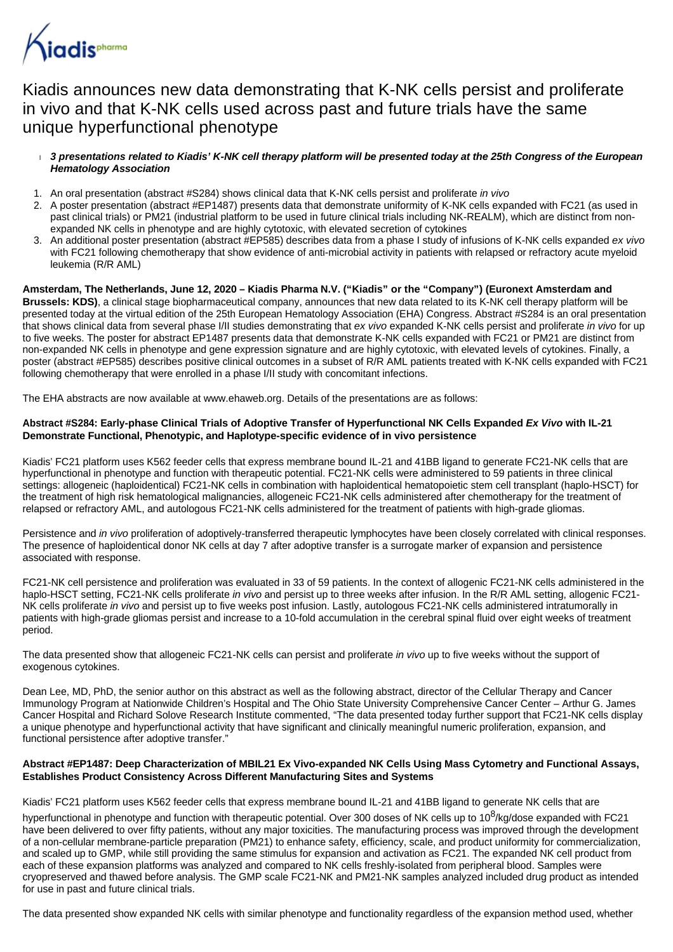

# Kiadis announces new data demonstrating that K-NK cells persist and proliferate in vivo and that K-NK cells used across past and future trials have the same unique hyperfunctional phenotype

- **3 presentations related to Kiadis' K-NK cell therapy platform will be presented today at the 25th Congress of the European Hematology Association**
- 1. An oral presentation (abstract #S284) shows clinical data that K-NK cells persist and proliferate *in vivo*
- 2. A poster presentation (abstract #EP1487) presents data that demonstrate uniformity of K-NK cells expanded with FC21 (as used in past clinical trials) or PM21 (industrial platform to be used in future clinical trials including NK-REALM), which are distinct from nonexpanded NK cells in phenotype and are highly cytotoxic, with elevated secretion of cytokines
- 3. An additional poster presentation (abstract #EP585) describes data from a phase I study of infusions of K-NK cells expanded ex vivo with FC21 following chemotherapy that show evidence of anti-microbial activity in patients with relapsed or refractory acute myeloid leukemia (R/R AML)

#### **Amsterdam, The Netherlands, June 12, 2020 – Kiadis Pharma N.V. ("Kiadis" or the "Company") (Euronext Amsterdam and Brussels: KDS)**, a clinical stage biopharmaceutical company, announces that new data related to its K-NK cell therapy platform will be presented today at the virtual edition of the 25th European Hematology Association (EHA) Congress. Abstract #S284 is an oral presentation that shows clinical data from several phase I/II studies demonstrating that ex vivo expanded K-NK cells persist and proliferate in vivo for up to five weeks. The poster for abstract EP1487 presents data that demonstrate K-NK cells expanded with FC21 or PM21 are distinct from non-expanded NK cells in phenotype and gene expression signature and are highly cytotoxic, with elevated levels of cytokines. Finally, a poster (abstract #EP585) describes positive clinical outcomes in a subset of R/R AML patients treated with K-NK cells expanded with FC21 following chemotherapy that were enrolled in a phase I/II study with concomitant infections.

The EHA abstracts are now available at www.ehaweb.org. Details of the presentations are as follows:

# **Abstract #S284: Early-phase Clinical Trials of Adoptive Transfer of Hyperfunctional NK Cells Expanded Ex Vivo with IL-21 Demonstrate Functional, Phenotypic, and Haplotype-specific evidence of in vivo persistence**

Kiadis' FC21 platform uses K562 feeder cells that express membrane bound IL-21 and 41BB ligand to generate FC21-NK cells that are hyperfunctional in phenotype and function with therapeutic potential. FC21-NK cells were administered to 59 patients in three clinical settings: allogeneic (haploidentical) FC21-NK cells in combination with haploidentical hematopoietic stem cell transplant (haplo-HSCT) for the treatment of high risk hematological malignancies, allogeneic FC21-NK cells administered after chemotherapy for the treatment of relapsed or refractory AML, and autologous FC21-NK cells administered for the treatment of patients with high-grade gliomas.

Persistence and in vivo proliferation of adoptively-transferred therapeutic lymphocytes have been closely correlated with clinical responses. The presence of haploidentical donor NK cells at day 7 after adoptive transfer is a surrogate marker of expansion and persistence associated with response.

FC21-NK cell persistence and proliferation was evaluated in 33 of 59 patients. In the context of allogenic FC21-NK cells administered in the haplo-HSCT setting, FC21-NK cells proliferate in vivo and persist up to three weeks after infusion. In the R/R AML setting, allogenic FC21-NK cells proliferate in vivo and persist up to five weeks post infusion. Lastly, autologous FC21-NK cells administered intratumorally in patients with high-grade gliomas persist and increase to a 10-fold accumulation in the cerebral spinal fluid over eight weeks of treatment period.

The data presented show that allogeneic FC21-NK cells can persist and proliferate in vivo up to five weeks without the support of exogenous cytokines.

Dean Lee, MD, PhD, the senior author on this abstract as well as the following abstract, director of the Cellular Therapy and Cancer Immunology Program at Nationwide Children's Hospital and The Ohio State University Comprehensive Cancer Center – Arthur G. James Cancer Hospital and Richard Solove Research Institute commented, "The data presented today further support that FC21-NK cells display a unique phenotype and hyperfunctional activity that have significant and clinically meaningful numeric proliferation, expansion, and functional persistence after adoptive transfer."

# **Abstract #EP1487: Deep Characterization of MBIL21 Ex Vivo-expanded NK Cells Using Mass Cytometry and Functional Assays, Establishes Product Consistency Across Different Manufacturing Sites and Systems**

Kiadis' FC21 platform uses K562 feeder cells that express membrane bound IL-21 and 41BB ligand to generate NK cells that are

hyperfunctional in phenotype and function with therapeutic potential. Over 300 doses of NK cells up to 10<sup>8</sup>/kg/dose expanded with FC21 have been delivered to over fifty patients, without any major toxicities. The manufacturing process was improved through the development of a non-cellular membrane-particle preparation (PM21) to enhance safety, efficiency, scale, and product uniformity for commercialization, and scaled up to GMP, while still providing the same stimulus for expansion and activation as FC21. The expanded NK cell product from each of these expansion platforms was analyzed and compared to NK cells freshly-isolated from peripheral blood. Samples were cryopreserved and thawed before analysis. The GMP scale FC21-NK and PM21-NK samples analyzed included drug product as intended for use in past and future clinical trials.

The data presented show expanded NK cells with similar phenotype and functionality regardless of the expansion method used, whether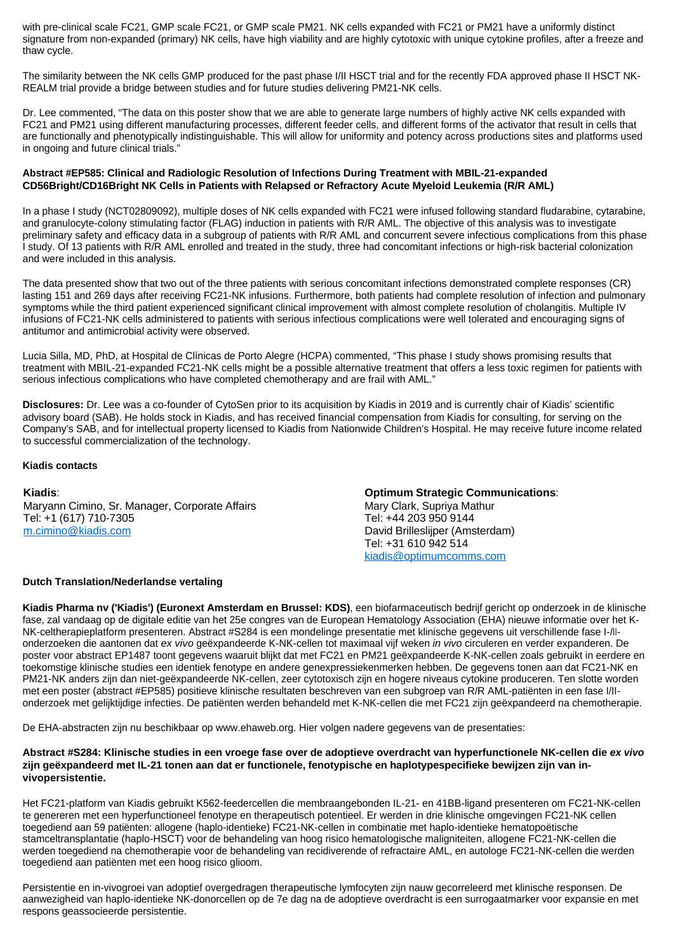with pre-clinical scale FC21, GMP scale FC21, or GMP scale PM21. NK cells expanded with FC21 or PM21 have a uniformly distinct signature from non-expanded (primary) NK cells, have high viability and are highly cytotoxic with unique cytokine profiles, after a freeze and thaw cycle.

The similarity between the NK cells GMP produced for the past phase I/II HSCT trial and for the recently FDA approved phase II HSCT NK-REALM trial provide a bridge between studies and for future studies delivering PM21-NK cells.

Dr. Lee commented, "The data on this poster show that we are able to generate large numbers of highly active NK cells expanded with FC21 and PM21 using different manufacturing processes, different feeder cells, and different forms of the activator that result in cells that are functionally and phenotypically indistinguishable. This will allow for uniformity and potency across productions sites and platforms used in ongoing and future clinical trials."

### **Abstract #EP585: Clinical and Radiologic Resolution of Infections During Treatment with MBIL-21-expanded CD56Bright/CD16Bright NK Cells in Patients with Relapsed or Refractory Acute Myeloid Leukemia (R/R AML)**

In a phase I study (NCT02809092), multiple doses of NK cells expanded with FC21 were infused following standard fludarabine, cytarabine, and granulocyte-colony stimulating factor (FLAG) induction in patients with R/R AML. The objective of this analysis was to investigate preliminary safety and efficacy data in a subgroup of patients with R/R AML and concurrent severe infectious complications from this phase I study. Of 13 patients with R/R AML enrolled and treated in the study, three had concomitant infections or high-risk bacterial colonization and were included in this analysis.

The data presented show that two out of the three patients with serious concomitant infections demonstrated complete responses (CR) lasting 151 and 269 days after receiving FC21-NK infusions. Furthermore, both patients had complete resolution of infection and pulmonary symptoms while the third patient experienced significant clinical improvement with almost complete resolution of cholangitis. Multiple IV infusions of FC21-NK cells administered to patients with serious infectious complications were well tolerated and encouraging signs of antitumor and antimicrobial activity were observed.

Lucia Silla, MD, PhD, at Hospital de Clínicas de Porto Alegre (HCPA) commented, "This phase I study shows promising results that treatment with MBIL-21-expanded FC21-NK cells might be a possible alternative treatment that offers a less toxic regimen for patients with serious infectious complications who have completed chemotherapy and are frail with AML."

**Disclosures:** Dr. Lee was a co-founder of CytoSen prior to its acquisition by Kiadis in 2019 and is currently chair of Kiadis' scientific advisory board (SAB). He holds stock in Kiadis, and has received financial compensation from Kiadis for consulting, for serving on the Company's SAB, and for intellectual property licensed to Kiadis from Nationwide Children's Hospital. He may receive future income related to successful commercialization of the technology.

#### **Kiadis contacts**

**Kiadis**: Maryann Cimino, Sr. Manager, Corporate Affairs Tel: +1 (617) 710-7305 [m.cimino@kiadis.com](mailto:m.cimino@kiadis.com)

**Optimum Strategic Communications**: Mary Clark, Supriya Mathur Tel: +44 203 950 9144 David Brilleslijper (Amsterdam) Tel: +31 610 942 514 [kiadis@optimumcomms.com](mailto:kiadis@optimumcomms.com)

## **Dutch Translation/Nederlandse vertaling**

**Kiadis Pharma nv ('Kiadis') (Euronext Amsterdam en Brussel: KDS)**, een biofarmaceutisch bedrijf gericht op onderzoek in de klinische fase, zal vandaag op de digitale editie van het 25e congres van de European Hematology Association (EHA) nieuwe informatie over het K-NK-celtherapieplatform presenteren. Abstract #S284 is een mondelinge presentatie met klinische gegevens uit verschillende fase I-/IIonderzoeken die aantonen dat ex vivo geëxpandeerde K-NK-cellen tot maximaal vijf weken in vivo circuleren en verder expanderen. De poster voor abstract EP1487 toont gegevens waaruit blijkt dat met FC21 en PM21 geëxpandeerde K-NK-cellen zoals gebruikt in eerdere en toekomstige klinische studies een identiek fenotype en andere genexpressiekenmerken hebben. De gegevens tonen aan dat FC21-NK en PM21-NK anders zijn dan niet-geëxpandeerde NK-cellen, zeer cytotoxisch zijn en hogere niveaus cytokine produceren. Ten slotte worden met een poster (abstract #EP585) positieve klinische resultaten beschreven van een subgroep van R/R AML-patiënten in een fase I/IIonderzoek met gelijktijdige infecties. De patiënten werden behandeld met K-NK-cellen die met FC21 zijn geëxpandeerd na chemotherapie.

De EHA-abstracten zijn nu beschikbaar op www.ehaweb.org. Hier volgen nadere gegevens van de presentaties:

### **Abstract #S284: Klinische studies in een vroege fase over de adoptieve overdracht van hyperfunctionele NK-cellen die ex vivo zijn geëxpandeerd met IL-21 tonen aan dat er functionele, fenotypische en haplotypespecifieke bewijzen zijn van invivopersistentie.**

Het FC21-platform van Kiadis gebruikt K562-feedercellen die membraangebonden IL-21- en 41BB-ligand presenteren om FC21-NK-cellen te genereren met een hyperfunctioneel fenotype en therapeutisch potentieel. Er werden in drie klinische omgevingen FC21-NK cellen toegediend aan 59 patiënten: allogene (haplo-identieke) FC21-NK-cellen in combinatie met haplo-identieke hematopoëtische stamceltransplantatie (haplo-HSCT) voor de behandeling van hoog risico hematologische maligniteiten, allogene FC21-NK-cellen die werden toegediend na chemotherapie voor de behandeling van recidiverende of refractaire AML, en autologe FC21-NK-cellen die werden toegediend aan patiënten met een hoog risico glioom.

Persistentie en in-vivogroei van adoptief overgedragen therapeutische lymfocyten zijn nauw gecorreleerd met klinische responsen. De aanwezigheid van haplo-identieke NK-donorcellen op de 7e dag na de adoptieve overdracht is een surrogaatmarker voor expansie en met respons geassocieerde persistentie.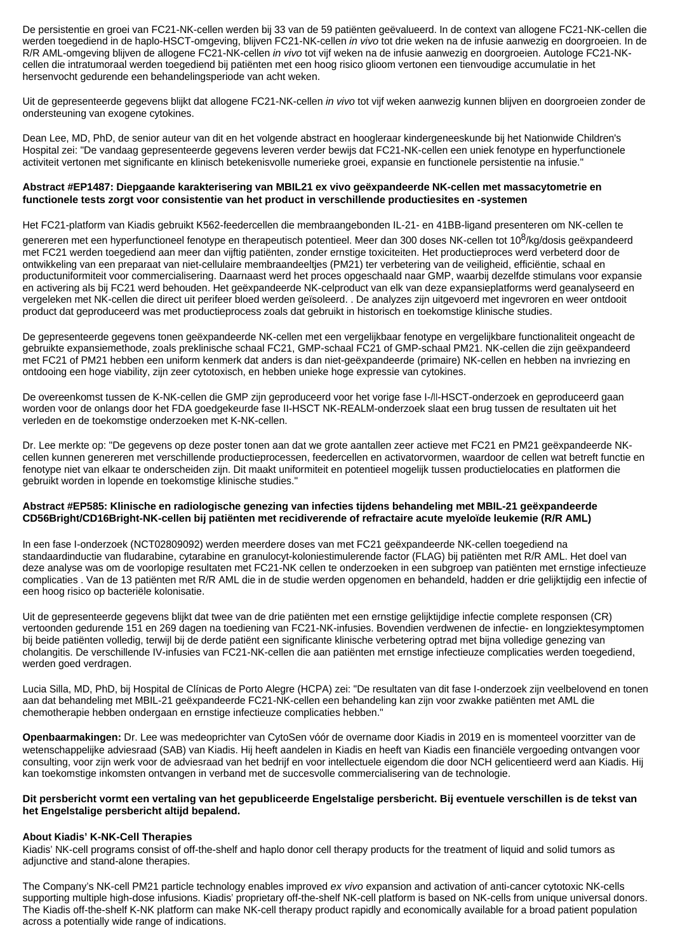De persistentie en groei van FC21-NK-cellen werden bij 33 van de 59 patiënten geëvalueerd. In de context van allogene FC21-NK-cellen die werden toegediend in de haplo-HSCT-omgeving, blijven FC21-NK-cellen in vivo tot drie weken na de infusie aanwezig en doorgroeien. In de R/R AML-omgeving blijven de allogene FC21-NK-cellen in vivo tot vijf weken na de infusie aanwezig en doorgroeien. Autologe FC21-NKcellen die intratumoraal werden toegediend bij patiënten met een hoog risico glioom vertonen een tienvoudige accumulatie in het hersenvocht gedurende een behandelingsperiode van acht weken.

Uit de gepresenteerde gegevens blijkt dat allogene FC21-NK-cellen in vivo tot vijf weken aanwezig kunnen blijven en doorgroeien zonder de ondersteuning van exogene cytokines.

Dean Lee, MD, PhD, de senior auteur van dit en het volgende abstract en hoogleraar kindergeneeskunde bij het Nationwide Children's Hospital zei: "De vandaag gepresenteerde gegevens leveren verder bewijs dat FC21-NK-cellen een uniek fenotype en hyperfunctionele activiteit vertonen met significante en klinisch betekenisvolle numerieke groei, expansie en functionele persistentie na infusie."

#### **Abstract #EP1487: Diepgaande karakterisering van MBIL21 ex vivo geëxpandeerde NK-cellen met massacytometrie en functionele tests zorgt voor consistentie van het product in verschillende productiesites en -systemen**

Het FC21-platform van Kiadis gebruikt K562-feedercellen die membraangebonden IL-21- en 41BB-ligand presenteren om NK-cellen te

genereren met een hyperfunctioneel fenotype en therapeutisch potentieel. Meer dan 300 doses NK-cellen tot 10<sup>8</sup>/kg/dosis geëxpandeerd met FC21 werden toegediend aan meer dan vijftig patiënten, zonder ernstige toxiciteiten. Het productieproces werd verbeterd door de ontwikkeling van een preparaat van niet-cellulaire membraandeeltjes (PM21) ter verbetering van de veiligheid, efficiëntie, schaal en productuniformiteit voor commercialisering. Daarnaast werd het proces opgeschaald naar GMP, waarbij dezelfde stimulans voor expansie en activering als bij FC21 werd behouden. Het geëxpandeerde NK-celproduct van elk van deze expansieplatforms werd geanalyseerd en vergeleken met NK-cellen die direct uit perifeer bloed werden geïsoleerd. . De analyzes zijn uitgevoerd met ingevroren en weer ontdooit product dat geproduceerd was met productieprocess zoals dat gebruikt in historisch en toekomstige klinische studies.

De gepresenteerde gegevens tonen geëxpandeerde NK-cellen met een vergelijkbaar fenotype en vergelijkbare functionaliteit ongeacht de gebruikte expansiemethode, zoals preklinische schaal FC21, GMP-schaal FC21 of GMP-schaal PM21. NK-cellen die zijn geëxpandeerd met FC21 of PM21 hebben een uniform kenmerk dat anders is dan niet-geëxpandeerde (primaire) NK-cellen en hebben na invriezing en ontdooing een hoge viability, zijn zeer cytotoxisch, en hebben unieke hoge expressie van cytokines.

De overeenkomst tussen de K-NK-cellen die GMP zijn geproduceerd voor het vorige fase I-/II-HSCT-onderzoek en geproduceerd gaan worden voor de onlangs door het FDA goedgekeurde fase II-HSCT NK-REALM-onderzoek slaat een brug tussen de resultaten uit het verleden en de toekomstige onderzoeken met K-NK-cellen.

Dr. Lee merkte op: "De gegevens op deze poster tonen aan dat we grote aantallen zeer actieve met FC21 en PM21 geëxpandeerde NKcellen kunnen genereren met verschillende productieprocessen, feedercellen en activatorvormen, waardoor de cellen wat betreft functie en fenotype niet van elkaar te onderscheiden zijn. Dit maakt uniformiteit en potentieel mogelijk tussen productielocaties en platformen die gebruikt worden in lopende en toekomstige klinische studies."

#### **Abstract #EP585: Klinische en radiologische genezing van infecties tijdens behandeling met MBIL-21 geëxpandeerde CD56Bright/CD16Bright-NK-cellen bij patiënten met recidiverende of refractaire acute myeloïde leukemie (R/R AML)**

In een fase I-onderzoek (NCT02809092) werden meerdere doses van met FC21 geëxpandeerde NK-cellen toegediend na standaardinductie van fludarabine, cytarabine en granulocyt-koloniestimulerende factor (FLAG) bij patiënten met R/R AML. Het doel van deze analyse was om de voorlopige resultaten met FC21-NK cellen te onderzoeken in een subgroep van patiënten met ernstige infectieuze complicaties . Van de 13 patiënten met R/R AML die in de studie werden opgenomen en behandeld, hadden er drie gelijktijdig een infectie of een hoog risico op bacteriële kolonisatie.

Uit de gepresenteerde gegevens blijkt dat twee van de drie patiënten met een ernstige gelijktijdige infectie complete responsen (CR) vertoonden gedurende 151 en 269 dagen na toediening van FC21-NK-infusies. Bovendien verdwenen de infectie- en longziektesymptomen bij beide patiënten volledig, terwijl bij de derde patiënt een significante klinische verbetering optrad met bijna volledige genezing van cholangitis. De verschillende IV-infusies van FC21-NK-cellen die aan patiënten met ernstige infectieuze complicaties werden toegediend, werden goed verdragen.

Lucia Silla, MD, PhD, bij Hospital de Clínicas de Porto Alegre (HCPA) zei: "De resultaten van dit fase I-onderzoek zijn veelbelovend en tonen aan dat behandeling met MBIL-21 geëxpandeerde FC21-NK-cellen een behandeling kan zijn voor zwakke patiënten met AML die chemotherapie hebben ondergaan en ernstige infectieuze complicaties hebben."

**Openbaarmakingen:** Dr. Lee was medeoprichter van CytoSen vóór de overname door Kiadis in 2019 en is momenteel voorzitter van de wetenschappelijke adviesraad (SAB) van Kiadis. Hij heeft aandelen in Kiadis en heeft van Kiadis een financiële vergoeding ontvangen voor consulting, voor zijn werk voor de adviesraad van het bedrijf en voor intellectuele eigendom die door NCH gelicentieerd werd aan Kiadis. Hij kan toekomstige inkomsten ontvangen in verband met de succesvolle commercialisering van de technologie.

#### **Dit persbericht vormt een vertaling van het gepubliceerde Engelstalige persbericht. Bij eventuele verschillen is de tekst van het Engelstalige persbericht altijd bepalend.**

## **About Kiadis' K-NK-Cell Therapies**

Kiadis' NK-cell programs consist of off-the-shelf and haplo donor cell therapy products for the treatment of liquid and solid tumors as adjunctive and stand-alone therapies.

The Company's NK-cell PM21 particle technology enables improved ex vivo expansion and activation of anti-cancer cytotoxic NK-cells supporting multiple high-dose infusions. Kiadis' proprietary off-the-shelf NK-cell platform is based on NK-cells from unique universal donors. The Kiadis off-the-shelf K-NK platform can make NK-cell therapy product rapidly and economically available for a broad patient population across a potentially wide range of indications.